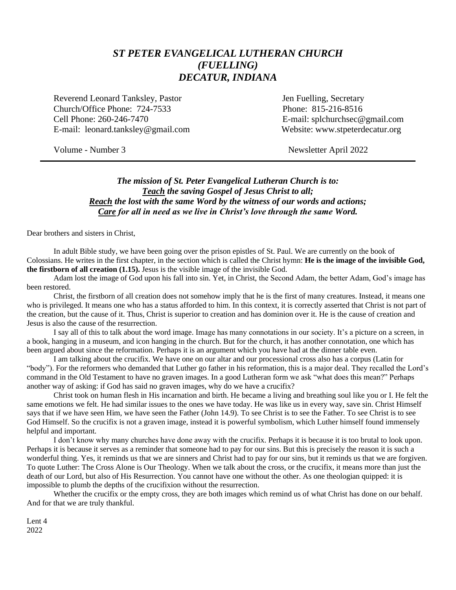## *ST PETER EVANGELICAL LUTHERAN CHURCH (FUELLING) DECATUR, INDIANA*

Reverend Leonard Tanksley, Pastor **Jen Fuelling**, Secretary Church/Office Phone: 724-7533 Phone: 815-216-8516 Cell Phone: 260-246-7470 E-mail: splchurchsec@gmail.com E-mail: leonard.tanksley@gmail.com Website: www.stpeterdecatur.org

Volume - Number 3 Newsletter April 2022

### *The mission of St. Peter Evangelical Lutheran Church is to: Teach the saving Gospel of Jesus Christ to all; Reach the lost with the same Word by the witness of our words and actions; Care for all in need as we live in Christ's love through the same Word.*

Dear brothers and sisters in Christ,

In adult Bible study, we have been going over the prison epistles of St. Paul. We are currently on the book of Colossians. He writes in the first chapter, in the section which is called the Christ hymn: **He is the image of the invisible God, the firstborn of all creation (1.15).** Jesus is the visible image of the invisible God.

Adam lost the image of God upon his fall into sin. Yet, in Christ, the Second Adam, the better Adam, God's image has been restored.

Christ, the firstborn of all creation does not somehow imply that he is the first of many creatures. Instead, it means one who is privileged. It means one who has a status afforded to him. In this context, it is correctly asserted that Christ is not part of the creation, but the cause of it. Thus, Christ is superior to creation and has dominion over it. He is the cause of creation and Jesus is also the cause of the resurrection.

I say all of this to talk about the word image. Image has many connotations in our society. It's a picture on a screen, in a book, hanging in a museum, and icon hanging in the church. But for the church, it has another connotation, one which has been argued about since the reformation. Perhaps it is an argument which you have had at the dinner table even.

I am talking about the crucifix. We have one on our altar and our processional cross also has a corpus (Latin for "body"). For the reformers who demanded that Luther go father in his reformation, this is a major deal. They recalled the Lord's command in the Old Testament to have no graven images. In a good Lutheran form we ask "what does this mean?" Perhaps another way of asking: if God has said no graven images, why do we have a crucifix?

Christ took on human flesh in His incarnation and birth. He became a living and breathing soul like you or I. He felt the same emotions we felt. He had similar issues to the ones we have today. He was like us in every way, save sin. Christ Himself says that if we have seen Him, we have seen the Father (John 14.9). To see Christ is to see the Father. To see Christ is to see God Himself. So the crucifix is not a graven image, instead it is powerful symbolism, which Luther himself found immensely helpful and important.

I don't know why many churches have done away with the crucifix. Perhaps it is because it is too brutal to look upon. Perhaps it is because it serves as a reminder that someone had to pay for our sins. But this is precisely the reason it is such a wonderful thing. Yes, it reminds us that we are sinners and Christ had to pay for our sins, but it reminds us that we are forgiven. To quote Luther: The Cross Alone is Our Theology. When we talk about the cross, or the crucifix, it means more than just the death of our Lord, but also of His Resurrection. You cannot have one without the other. As one theologian quipped: it is impossible to plumb the depths of the crucifixion without the resurrection.

Whether the crucifix or the empty cross, they are both images which remind us of what Christ has done on our behalf. And for that we are truly thankful.

Lent 4 2022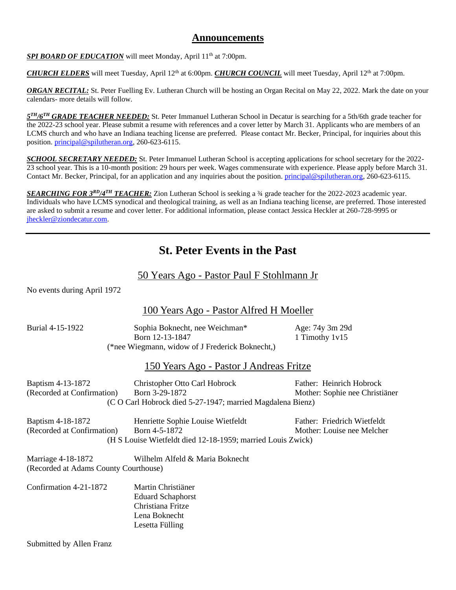## **Announcements**

*SPI BOARD OF EDUCATION* will meet Monday, April 11<sup>th</sup> at 7:00pm.

*CHURCH ELDERS* will meet Tuesday, April 12<sup>th</sup> at 6:00pm. *CHURCH COUNCIL* will meet Tuesday, April 12<sup>th</sup> at 7:00pm.

*ORGAN RECITAL:* St. Peter Fuelling Ev. Lutheran Church will be hosting an Organ Recital on May 22, 2022. Mark the date on your calendars- more details will follow.

*5 TH/6TH GRADE TEACHER NEEDED:* St. Peter Immanuel Lutheran School in Decatur is searching for a 5th/6th grade teacher for the 2022-23 school year. Please submit a resume with references and a cover letter by March 31. Applicants who are members of an LCMS church and who have an Indiana teaching license are preferred. Please contact Mr. Becker, Principal, for inquiries about this position. [principal@spilutheran.org,](mailto:principal@spilutheran.org) 260-623-6115.

**SCHOOL SECRETARY NEEDED:** St. Peter Immanuel Lutheran School is accepting applications for school secretary for the 2022-23 school year. This is a 10-month position: 29 hours per week. Wages commensurate with experience. Please apply before March 31. Contact Mr. Becker, Principal, for an application and any inquiries about the position. [principal@spilutheran.org,](mailto:principal@spilutheran.org) 260-623-6115.

*SEARCHING FOR 3RD/4TH TEACHER:* Zion Lutheran School is seeking a ¾ grade teacher for the 2022-2023 academic year. Individuals who have LCMS synodical and theological training, as well as an Indiana teaching license, are preferred. Those interested are asked to submit a resume and cover letter. For additional information, please contact Jessica Heckler at 260-728-9995 or [jheckler@ziondecatur.com.](mailto:jheckler@ziondecatur.com)

## **St. Peter Events in the Past**

## 50 Years Ago - Pastor Paul F Stohlmann Jr

| No events during April 1972 |  |
|-----------------------------|--|
|-----------------------------|--|

## 100 Years Ago - Pastor Alfred H Moeller

| Burial 4-15-1922                                            | Sophia Boknecht, nee Weichman*<br>Born 12-13-1847<br>(*nee Wiegmann, widow of J Frederick Boknecht,)              | Age: 74y 3m 29d<br>1 Timothy 1v15                          |
|-------------------------------------------------------------|-------------------------------------------------------------------------------------------------------------------|------------------------------------------------------------|
|                                                             | 150 Years Ago - Pastor J Andreas Fritze                                                                           |                                                            |
| Baptism 4-13-1872<br>(Recorded at Confirmation)             | Christopher Otto Carl Hobrock<br>Born 3-29-1872<br>(C O Carl Hobrock died 5-27-1947; married Magdalena Bienz)     | Father: Heinrich Hobrock<br>Mother: Sophie nee Christiäner |
| Baptism 4-18-1872<br>(Recorded at Confirmation)             | Henriette Sophie Louise Wietfeldt<br>Born 4-5-1872<br>(H S Louise Wietfeldt died 12-18-1959; married Louis Zwick) | Father: Friedrich Wietfeldt<br>Mother: Louise nee Melcher  |
| Marriage 4-18-1872<br>(Recorded at Adams County Courthouse) | Wilhelm Alfeld & Maria Boknecht                                                                                   |                                                            |
| Confirmation 4-21-1872                                      | Martin Christiäner<br><b>Eduard Schaphorst</b><br>Christiana Fritze<br>Lena Boknecht<br>Lesetta Fülling           |                                                            |

Submitted by Allen Franz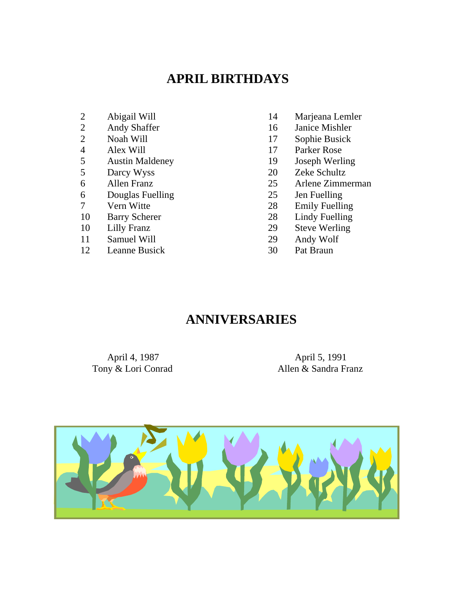## **APRIL BIRTHDAYS**

- 
- 
- 
- 
- 4 Alex Will 17 Parker Rose<br>5 Austin Maldeney 19 Joseph Werling 5 Austin Maldeney 19<br>5 Darcy Wyss 20
- 
- 
- 6 Douglas Fuelling 25 Jen Fuelling
- 
- 
- 
- 11 Samuel Will 29 Andy Wolf
- 12 Leanne Busick 30 Pat Braun
- 2 Abigail Will 14 Marjeana Lemler
- 2 Andy Shaffer 16 Janice Mishler<br>2 Noah Will 17 Sophie Busick
- 2 Noah Will 17 Sophie Busick<br>4 Alex Will 17 Parker Rose
	-
	-
	- 5 Darcy Wyss 20 Zeke Schultz
- 6 Allen Franz 25 Arlene Zimmerman
	-
- 7 Vern Witte 28 Emily Fuelling
- 10 Barry Scherer 28 Lindy Fuelling
- 10 Lilly Franz 29 Steve Werling
	-
	-

## **ANNIVERSARIES**

Tony & Lori Conrad

April 4, 1987<br>
April 5, 1991<br>
Allen & Sandra Franz

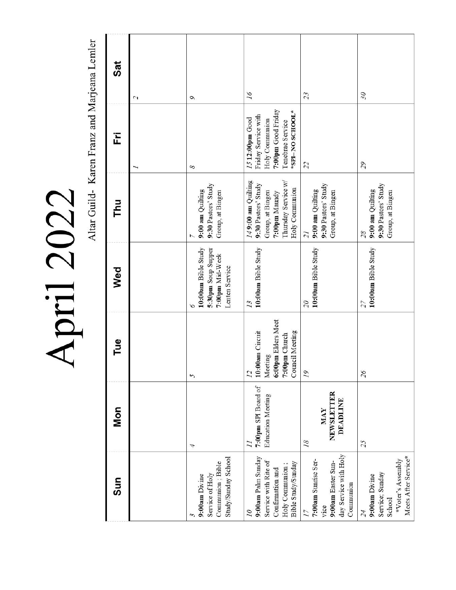April 2022

Altar Guild-Karen Franz and Marjeana Lemler

| Sat | $\mathcal{L}_{\mathcal{L}}$ | $\sigma$                                                                            | 16                                                                                                                      | 23                                                                                           | 30                                                                    |
|-----|-----------------------------|-------------------------------------------------------------------------------------|-------------------------------------------------------------------------------------------------------------------------|----------------------------------------------------------------------------------------------|-----------------------------------------------------------------------|
| Ë   | T                           | 8                                                                                   | 7:00pm Good Friday<br>*SPI-NO SCHOOL*<br>Friday Service with<br>1512:00pm Good<br>Holy Communion<br>Tenebrae Service    | 22                                                                                           | 55                                                                    |
| Thu |                             | 9:30 Pastors' Study<br>9:00 am Quilting<br>Group, at Bingen                         | 149:00 am Quilting<br>Thursday Service w/<br>9:30 Pastors' Study<br>Holy Communion<br>Group, at Bingen<br>7:00pm Maundy | 9:30 Pastors' Study<br>9:00 am Quilting<br>Group, at Bingen<br>$\overline{z}$                | 9:30 Pastors' Study<br>9:00 am Quilting<br>Group, at Bingen<br>28     |
| Wed |                             | 10:00am Bible Study<br>5:30pm Soup Supper<br>7:00pm Mid-Week<br>Lenten Service<br>৩ | 10:00am Bible Study<br>13                                                                                               | 10:00am Bible Study<br>$\overline{\mathcal{C}}$                                              | 10:00am Bible Study<br>27                                             |
| Tue |                             | 5                                                                                   | 6:00pm Elders Meet<br><b>Council Meeting</b><br>10:00am Circuit<br>7:00pm Church<br>Meeting<br>$\overline{12}$          | 19                                                                                           | 26                                                                    |
| Mon |                             | 4                                                                                   | 7:00pm SPI Board of<br><b>Education Meeting</b><br>$\overline{11}$                                                      | NEWSLETTER<br><b>DEADLINE</b><br>MAY<br>18                                                   | 25                                                                    |
| Sun |                             | Study/Sunday School<br>Communion; Bible<br>Service of Holy<br>9:00am Divine         | 9:00am Palm Sunday<br>Service with Rite of<br>Bible Study/Sunday<br>Holy Communion;<br>Confirmation and<br>10           | day Service with Holy<br>7:00am Sunnse Ser-<br>9:00am Easter Sun-<br>Communion<br>vice<br>17 | *Voter's Assembly<br>Service; Sunday<br>9:00am Divine<br>School<br>24 |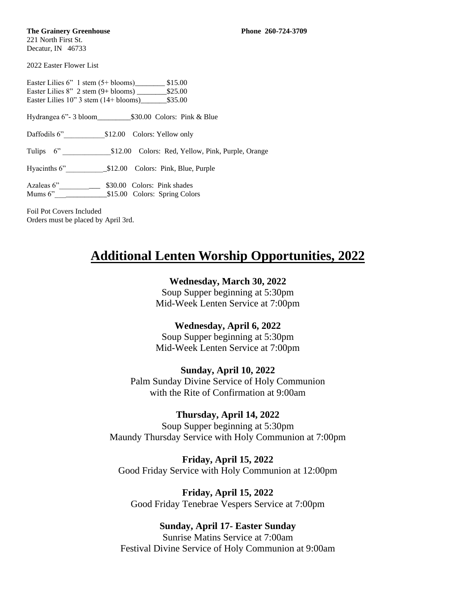#### **The Grainery Greenhouse Phone 260-724-3709**

221 North First St. Decatur, IN 46733

2022 Easter Flower List

Easter Lilies 6" 1 stem (5+ blooms)\_\_\_\_\_\_\_\_ \$15.00 Easter Lilies 8" 2 stem (9+ blooms) \_\_\_\_\_\_\_\_\$25.00 Easter Lilies  $10$ " 3 stem  $(14 + \text{blooms})$  \$35.00

Hydrangea 6"- 3 bloom \$30.00 Colors: Pink & Blue

Daffodils 6"<br>
\$12.00 Colors: Yellow only

Tulips 6" \_\_\_\_\_\_\_\_\_\_\_\_\_\$12.00 Colors: Red, Yellow, Pink, Purple, Orange

Hyacinths 6"\_\_\_\_\_\_\_\_\_\_\_\$12.00 Colors: Pink, Blue, Purple

Azaleas 6" \_\_\_\_\_\_\_\_\_\_\_\_\_\_ \$30.00 Colors: Pink shades Mums 6"\_\_\_\_\_\_\_\_\_\_\_\_\_\_\$15.00 Colors: Spring Colors

Foil Pot Covers Included Orders must be placed by April 3rd.

## **Additional Lenten Worship Opportunities, 2022**

### **Wednesday, March 30, 2022**

Soup Supper beginning at 5:30pm Mid-Week Lenten Service at 7:00pm

## **Wednesday, April 6, 2022**

Soup Supper beginning at 5:30pm Mid-Week Lenten Service at 7:00pm

**Sunday, April 10, 2022** Palm Sunday Divine Service of Holy Communion with the Rite of Confirmation at 9:00am

#### **Thursday, April 14, 2022**

Soup Supper beginning at 5:30pm Maundy Thursday Service with Holy Communion at 7:00pm

**Friday, April 15, 2022** Good Friday Service with Holy Communion at 12:00pm

**Friday, April 15, 2022** Good Friday Tenebrae Vespers Service at 7:00pm

#### **Sunday, April 17- Easter Sunday**

Sunrise Matins Service at 7:00am Festival Divine Service of Holy Communion at 9:00am